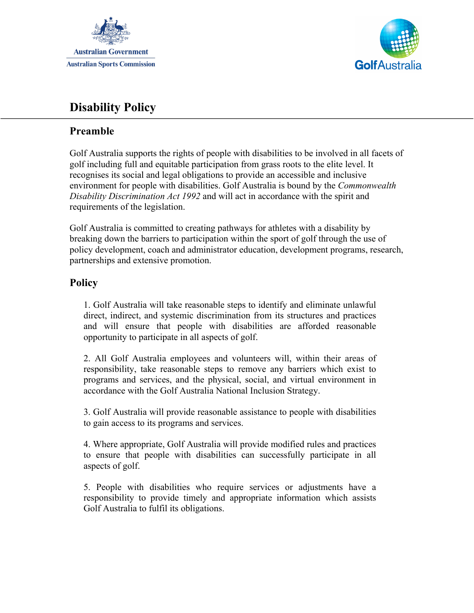



## **Disability Policy**

## **Preamble**

Golf Australia supports the rights of people with disabilities to be involved in all facets of golf including full and equitable participation from grass roots to the elite level. It recognises its social and legal obligations to provide an accessible and inclusive environment for people with disabilities. Golf Australia is bound by the *Commonwealth Disability Discrimination Act 1992* and will act in accordance with the spirit and requirements of the legislation.

Golf Australia is committed to creating pathways for athletes with a disability by breaking down the barriers to participation within the sport of golf through the use of policy development, coach and administrator education, development programs, research, partnerships and extensive promotion.

## **Policy**

1. Golf Australia will take reasonable steps to identify and eliminate unlawful direct, indirect, and systemic discrimination from its structures and practices and will ensure that people with disabilities are afforded reasonable opportunity to participate in all aspects of golf.

2. All Golf Australia employees and volunteers will, within their areas of responsibility, take reasonable steps to remove any barriers which exist to programs and services, and the physical, social, and virtual environment in accordance with the Golf Australia National Inclusion Strategy.

3. Golf Australia will provide reasonable assistance to people with disabilities to gain access to its programs and services.

4. Where appropriate, Golf Australia will provide modified rules and practices to ensure that people with disabilities can successfully participate in all aspects of golf.

5. People with disabilities who require services or adjustments have a responsibility to provide timely and appropriate information which assists Golf Australia to fulfil its obligations.